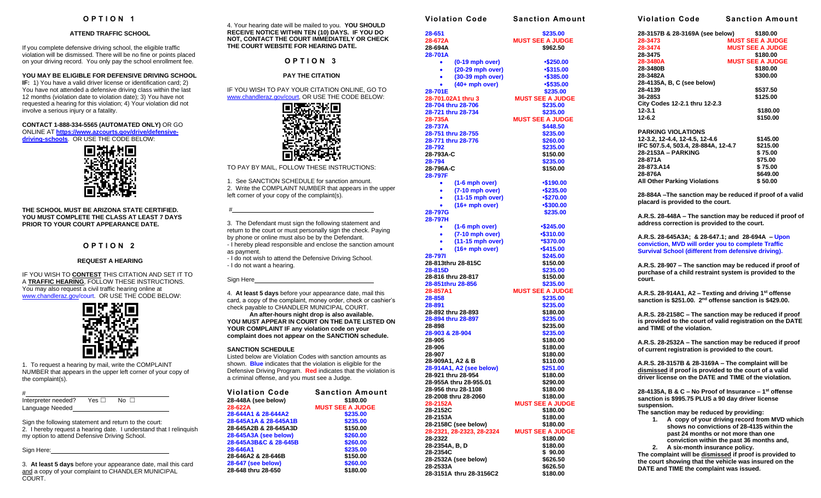# **O P T I O N 1**

#### **ATTEND TRAFFIC SCHOOL**

If you complete defensive driving school, the eligible traffic violation will be dismissed. There will be no fine or points placed on your driving record. You only pay the school enrollment fee.

## **YOU MAY BE ELIGIBLE FOR DEFENSIVE DRIVING SCHOOL**

**IF:** 1) You have a valid driver license or identification card; 2) You have not attended a defensive driving class within the last 12 months (violation date to violation date); 3) You have not requested a hearing for this violation; 4) Your violation did not involve a serious injury or a fatality.

**CONTACT 1-888-334-5565 (AUTOMATED ONLY)** OR GO ONLINE AT **[https://www.azcourts.gov/drive/defensive](https://www.azcourts.gov/drive/defensive-driving-schools)[driving-schools](https://www.azcourts.gov/drive/defensive-driving-schools)**. OR USE THE CODE BELOW:



**THE SCHOOL MUST BE ARIZONA STATE CERTIFIED. YOU MUST COMPLETE THE CLASS AT LEAST 7 DAYS PRIOR TO YOUR COURT APPEARANCE DATE.**

## **O P T I O N 2**

### **REQUEST A HEARING**

IF YOU WISH TO **CONTEST** THIS CITATION AND SET IT TO A **TRAFFIC HEARING**, FOLLOW THESE INSTRUCTIONS. You may also request a civil traffic hearing online at [www.chandleraz.gov/court.](http://www.chandleraz.gov/court) OR USE THE CODE BELOW:



1. To request a hearing by mail, write the COMPLAINT NUMBER that appears in the upper left corner of your copy of the complaint(s).

# Interpreter needed? Yes □ No □ Language Needed

Sign the following statement and return to the court: 2. I hereby request a hearing date. I understand that I relinquish my option to attend Defensive Driving School.

Sign Here:

3. **At least 5 days** before your appearance date, mail this card and a copy of your complaint to CHANDLER MUNICIPAL COURT.

4. Your hearing date will be mailed to you. **YOU SHOULD RECEIVE NOTICE WITHIN TEN (10) DAYS. IF YOU DO NOT, CONTACT THE COURT IMMEDIATELY OR CHECK THE COURT WEBSITE FOR HEARING DATE.**

**O P T I O N 3**

## **PAY THE CITATION**

IF YOU WISH TO PAY YOUR CITATION ONLINE, GO TO [www.chandleraz.gov/court,](http://www.chandleraz.gov/courts) OR USE THE CODE BELOW:



TO PAY BY MAIL, FOLLOW THESE INSTRUCTIONS:

1. See SANCTION SCHEDULE for sanction amount. 2. Write the COMPLAINT NUMBER that appears in the upper left corner of your copy of the complaint(s).

3. The Defendant must sign the following statement and return to the court or must personally sign the check. Paying by phone or online must also be by the Defendant.

- I hereby plead responsible and enclose the sanction amount as payment.
- I do not wish to attend the Defensive Driving School. - I do not want a hearing.

Sign Here

#

4. **At least 5 days** before your appearance date, mail this card, a copy of the complaint, money order, check or cashier's check payable to CHANDLER MUNICIPAL COURT.

**An after-hours night drop is also available. YOU MUST APPEAR IN COURT ON THE DATE LISTED ON YOUR COMPLAINT IF any violation code on your complaint does not appear on the SANCTION schedule.**

#### **SANCTION SCHEDULE**

Listed below are Violation Codes with sanction amounts as shown. **Blue** indicates that the violation is eligible for the Defensive Driving Program. **Red** indicates that the violation is a criminal offense, and you must see a Judge.

| Violation Code        | <b>Sanction Amount</b>  |
|-----------------------|-------------------------|
| 28-448A (see below)   | \$180.00                |
| 28-622A               | <b>MUST SEE A JUDGE</b> |
| 28-644A1 & 28-644A2   | \$235.00                |
| 28-645A1A & 28-645A1B | \$235.00                |
| 28-645A2B & 28-645A3D | \$150.00                |
| 28-645A3A (see below) | \$260.00                |
| 28-645A3B&C & 28-645B | \$260.00                |
| 28-646A1              | \$235.00                |
| 28-646A2 & 28-646B    | \$150.00                |
| 28-647 (see below)    | \$260.00                |
| 28-648 thru 28-650    | \$180.00                |
|                       |                         |

| <b>Violation Code</b>                        | <b>Sanction Amount</b>  |
|----------------------------------------------|-------------------------|
| 28-651                                       | \$235.00                |
| 28-672A                                      | <b>MUST SEE A JUDGE</b> |
| 28-694A                                      | \$962.50                |
| 28-701A                                      |                         |
| $(0-19$ mph over)<br>٠                       | •\$250.00               |
| (20-29 mph over)<br>٠                        | •\$315.00               |
| (30-39 mph over)<br>٠                        | •\$385.00               |
| $(40+$ mph over)                             | •\$535.00               |
| 28-701E                                      | \$235.00                |
| 28-701.02A1 thru 3                           | <b>MUST SEE A JUDGE</b> |
| 28-704 thru 28-706                           | \$235.00                |
| 28-721 thru 28-734                           | \$235.00                |
| 28-735A                                      | <b>MUST SEE A JUDGE</b> |
| 28-737A                                      | \$448.50                |
| 28-751 thru 28-755                           | \$235.00                |
| 28-771 thru 28-776                           | \$260.00                |
| 28-792                                       | \$235.00                |
| 28-793A-C                                    | \$150.00                |
| 28-794                                       | \$235.00                |
| 28-796A-C                                    | \$150.00                |
| 28-797F                                      |                         |
| (1-6 mph over)<br>٠                          | •\$190.00               |
| $(7-10$ mph over)<br>٠                       | •\$235.00               |
| (11-15 mph over)<br>٠                        | •\$270.00               |
| $(16+mph over)$                              | •\$300.00               |
| 28-797G<br>28-797H                           | \$235.00                |
| $(1-6$ mph over)<br>٠                        | •\$245.00               |
| (7-10 mph over)<br>$\bullet$                 | $-$ \$310.00            |
| (11-15 mph over)<br>$\bullet$                | *\$370.00               |
| $(16+mph over)$                              | $-$415.00$              |
| 28-7971                                      | \$245.00                |
| 28-813thru 28-815C                           | \$150.00                |
| 28-815D                                      | \$235.00                |
| 28-816 thru 28-817                           | \$150.00                |
| 28-851thru 28-856                            | \$235.00                |
| 28-857A1                                     | <b>MUST SEE A JUDGE</b> |
| 28-858                                       | \$235.00                |
| 28-891                                       | \$235.00                |
| 28-892 thru 28-893                           | \$180.00                |
| 28-894 thru 28-897                           | \$235.00                |
| 28-898                                       | \$235.00                |
| 28-903 & 28-904                              | \$235.00                |
| 28-905                                       | \$180.00                |
| 28-906                                       | \$180.00                |
| 28-907<br>28-909A1, A2 & B                   | \$180.00                |
| 28-914A1, A2 (see below)                     | \$110.00<br>\$251.00    |
|                                              |                         |
| 28-921 thru 28-954<br>28-955A thru 28-955.01 | \$180.00<br>\$290.00    |
| 28-956 thru 28-1108                          | \$180.00                |
| 28-2008 thru 28-2060                         | \$180.00                |
| 28-2152A                                     | <b>MUST SEE A JUDGE</b> |
| 28-2152C                                     | \$180.00                |
| 28-2153A                                     | \$180.00                |
| 28-2158C (see below)                         | \$180.00                |
| 28-2321, 28-2323, 28-2324                    | <b>MUST SEE A JUDGE</b> |
| 28-2322                                      | \$180.00                |
| 28-2354A, B, D                               | \$180.00                |
| 28-2354C                                     | \$90.00                 |
| 28-2532A (see below)                         | \$626.50                |
| 28-2533A                                     | \$626.50                |
| 28-3151A thru 28-3156C2                      | \$180.00                |

**Violation Code Sanction Amount 28-3157B & 28-3169A (see below) \$180.00 28-3473 MUST SEE A JUDGE 28-3474 MUST SEE A JUDGE 28-3475 \$180.00 28-3480A MUST SEE A JUDGE 28-3480B \$180.00 28-3482A \$300.00 28-4135A, B, C (see below) 28-4139 \$537.50 36-2853 \$125.00 City Codes 12-2.1 thru 12-2.3 12-3.1 \$180.00 12-6.2 \$150.00 PARKING VIOLATIONS 12-3.2, 12-4.4, 12-4.5, 12-4.6 \$145.00 IFC 507.5.4, 503.4, 28-884A, 12-4.7 \$215.00 28-2153A – PARKING \$ 75.00 28-871A \$75.00 28-873.A14 \$ 75.00 28-876A \$649.00 All Other Parking Violations \$ 50.00 28-884A –The sanction may be reduced if proof of a valid placard is provided to the court. A.R.S. 28-448A – The sanction may be reduced if proof of address correction is provided to the court. A.R.S. 28-645A3A; & 28-647.1; and 28-694A – Upon conviction, MVD will order you to complete Traffic Survival School (different from defensive driving). A.R.S. 28-907 – The sanction may be reduced if proof of purchase of a child restraint system is provided to the court. A.R.S. 28-914A1, A2 – Texting and driving 1 st offense sanction is \$251.00. 2nd offense sanction is \$429.00. A.R.S. 28-2158C – The sanction may be reduced if proof is provided to the court of valid registration on the DATE and TIME of the violation. A.R.S. 28-2532A – The sanction may be reduced if proof of current registration is provided to the court. A.R.S. 28-3157B & 28-3169A – The complaint will be dismissed if proof is provided to the court of a valid driver license on the DATE and TIME of the violation. 28-4135A, B & C – No Proof of Insurance – 1 st offense sanction is \$995.75 PLUS a 90 day driver license suspension. The sanction may be reduced by providing: 1. A copy of your driving record from MVD which shows no convictions of 28-4135 within the past 24 months or not more than one conviction within the past 36 months and, 2. A six-month insurance policy. The complaint will be dismissed if proof is provided to** 

**the court showing that the vehicle was insured on the** 

**DATE and TIME the complaint was issued.**